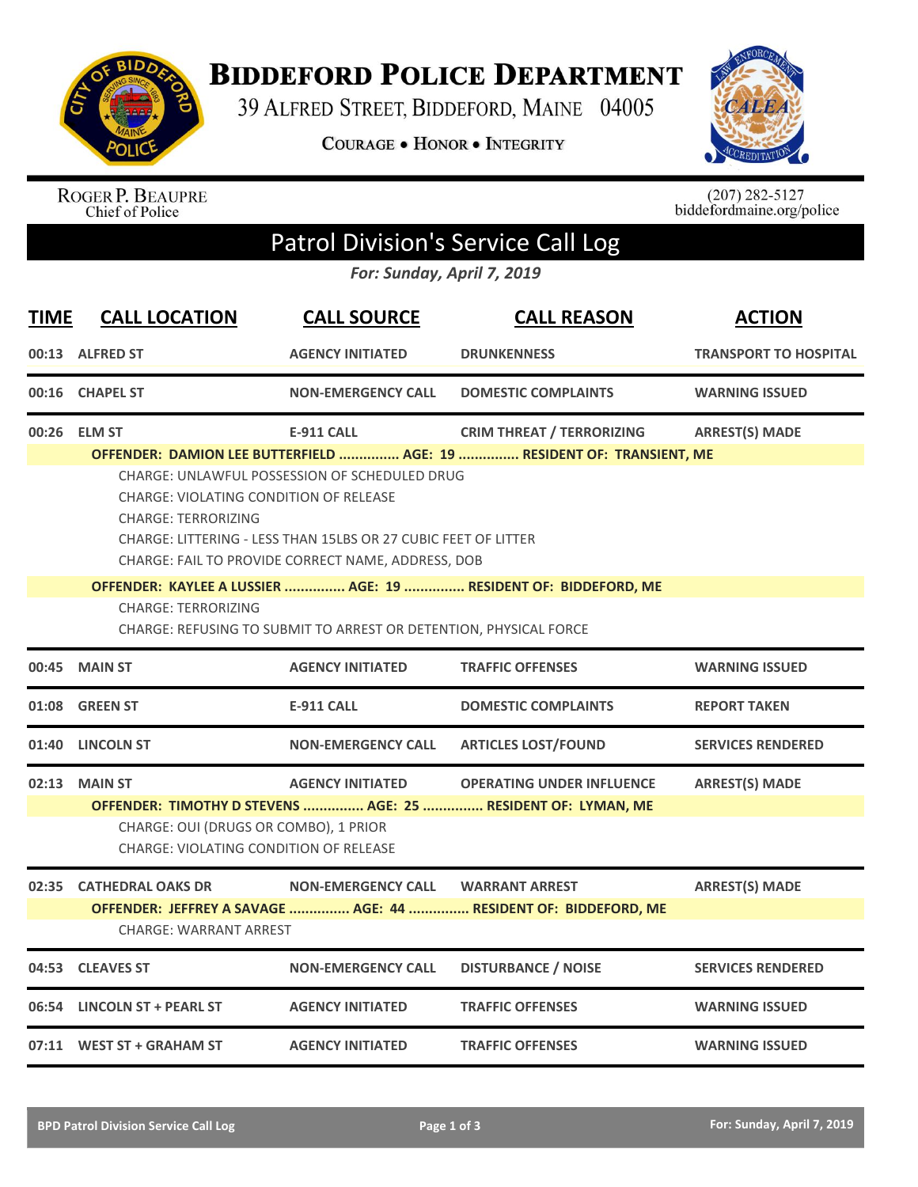

**BIDDEFORD POLICE DEPARTMENT** 

39 ALFRED STREET, BIDDEFORD, MAINE 04005

COURAGE . HONOR . INTEGRITY



ROGER P. BEAUPRE<br>Chief of Police

 $(207)$  282-5127<br>biddefordmaine.org/police

## Patrol Division's Service Call Log

*For: Sunday, April 7, 2019*

| <b>TIME</b> | <b>CALL LOCATION</b>                                                                                                                                                                                                                                                                                                                 | <b>CALL SOURCE</b>        | <b>CALL REASON</b>                                                                               | <b>ACTION</b>                |  |  |
|-------------|--------------------------------------------------------------------------------------------------------------------------------------------------------------------------------------------------------------------------------------------------------------------------------------------------------------------------------------|---------------------------|--------------------------------------------------------------------------------------------------|------------------------------|--|--|
|             | 00:13 ALFRED ST                                                                                                                                                                                                                                                                                                                      | <b>AGENCY INITIATED</b>   | <b>DRUNKENNESS</b>                                                                               | <b>TRANSPORT TO HOSPITAL</b> |  |  |
|             | 00:16 CHAPEL ST                                                                                                                                                                                                                                                                                                                      | <b>NON-EMERGENCY CALL</b> | <b>DOMESTIC COMPLAINTS</b>                                                                       | <b>WARNING ISSUED</b>        |  |  |
|             | 00:26 ELM ST                                                                                                                                                                                                                                                                                                                         | <b>E-911 CALL</b>         | <b>CRIM THREAT / TERRORIZING</b>                                                                 | <b>ARREST(S) MADE</b>        |  |  |
|             | OFFENDER: DAMION LEE BUTTERFIELD  AGE: 19  RESIDENT OF: TRANSIENT, ME<br><b>CHARGE: UNLAWFUL POSSESSION OF SCHEDULED DRUG</b><br><b>CHARGE: VIOLATING CONDITION OF RELEASE</b><br><b>CHARGE: TERRORIZING</b><br>CHARGE: LITTERING - LESS THAN 15LBS OR 27 CUBIC FEET OF LITTER<br>CHARGE: FAIL TO PROVIDE CORRECT NAME, ADDRESS, DOB |                           |                                                                                                  |                              |  |  |
|             |                                                                                                                                                                                                                                                                                                                                      |                           | OFFENDER: KAYLEE A LUSSIER  AGE: 19  RESIDENT OF: BIDDEFORD, ME                                  |                              |  |  |
|             | <b>CHARGE: TERRORIZING</b><br>CHARGE: REFUSING TO SUBMIT TO ARREST OR DETENTION, PHYSICAL FORCE                                                                                                                                                                                                                                      |                           |                                                                                                  |                              |  |  |
| 00:45       | <b>MAIN ST</b>                                                                                                                                                                                                                                                                                                                       | <b>AGENCY INITIATED</b>   | <b>TRAFFIC OFFENSES</b>                                                                          | <b>WARNING ISSUED</b>        |  |  |
|             | 01:08 GREEN ST                                                                                                                                                                                                                                                                                                                       | <b>E-911 CALL</b>         | <b>DOMESTIC COMPLAINTS</b>                                                                       | <b>REPORT TAKEN</b>          |  |  |
| 01:40       | <b>LINCOLN ST</b>                                                                                                                                                                                                                                                                                                                    | <b>NON-EMERGENCY CALL</b> | <b>ARTICLES LOST/FOUND</b>                                                                       | <b>SERVICES RENDERED</b>     |  |  |
|             | 02:13 MAIN ST                                                                                                                                                                                                                                                                                                                        | <b>AGENCY INITIATED</b>   | <b>OPERATING UNDER INFLUENCE</b><br>OFFENDER: TIMOTHY D STEVENS  AGE: 25  RESIDENT OF: LYMAN, ME | <b>ARREST(S) MADE</b>        |  |  |
|             | CHARGE: OUI (DRUGS OR COMBO), 1 PRIOR<br><b>CHARGE: VIOLATING CONDITION OF RELEASE</b>                                                                                                                                                                                                                                               |                           |                                                                                                  |                              |  |  |
|             | 02:35 CATHEDRAL OAKS DR                                                                                                                                                                                                                                                                                                              | <b>NON-EMERGENCY CALL</b> | <b>WARRANT ARREST</b>                                                                            | <b>ARREST(S) MADE</b>        |  |  |
|             | OFFENDER: JEFFREY A SAVAGE  AGE: 44  RESIDENT OF: BIDDEFORD, ME<br><b>CHARGE: WARRANT ARREST</b>                                                                                                                                                                                                                                     |                           |                                                                                                  |                              |  |  |
| 04:53       | <b>CLEAVES ST</b>                                                                                                                                                                                                                                                                                                                    | <b>NON-EMERGENCY CALL</b> | <b>DISTURBANCE / NOISE</b>                                                                       | <b>SERVICES RENDERED</b>     |  |  |
| 06:54       | <b>LINCOLN ST + PEARL ST</b>                                                                                                                                                                                                                                                                                                         | <b>AGENCY INITIATED</b>   | <b>TRAFFIC OFFENSES</b>                                                                          | <b>WARNING ISSUED</b>        |  |  |
|             | 07:11 WEST ST + GRAHAM ST                                                                                                                                                                                                                                                                                                            | <b>AGENCY INITIATED</b>   | <b>TRAFFIC OFFENSES</b>                                                                          | <b>WARNING ISSUED</b>        |  |  |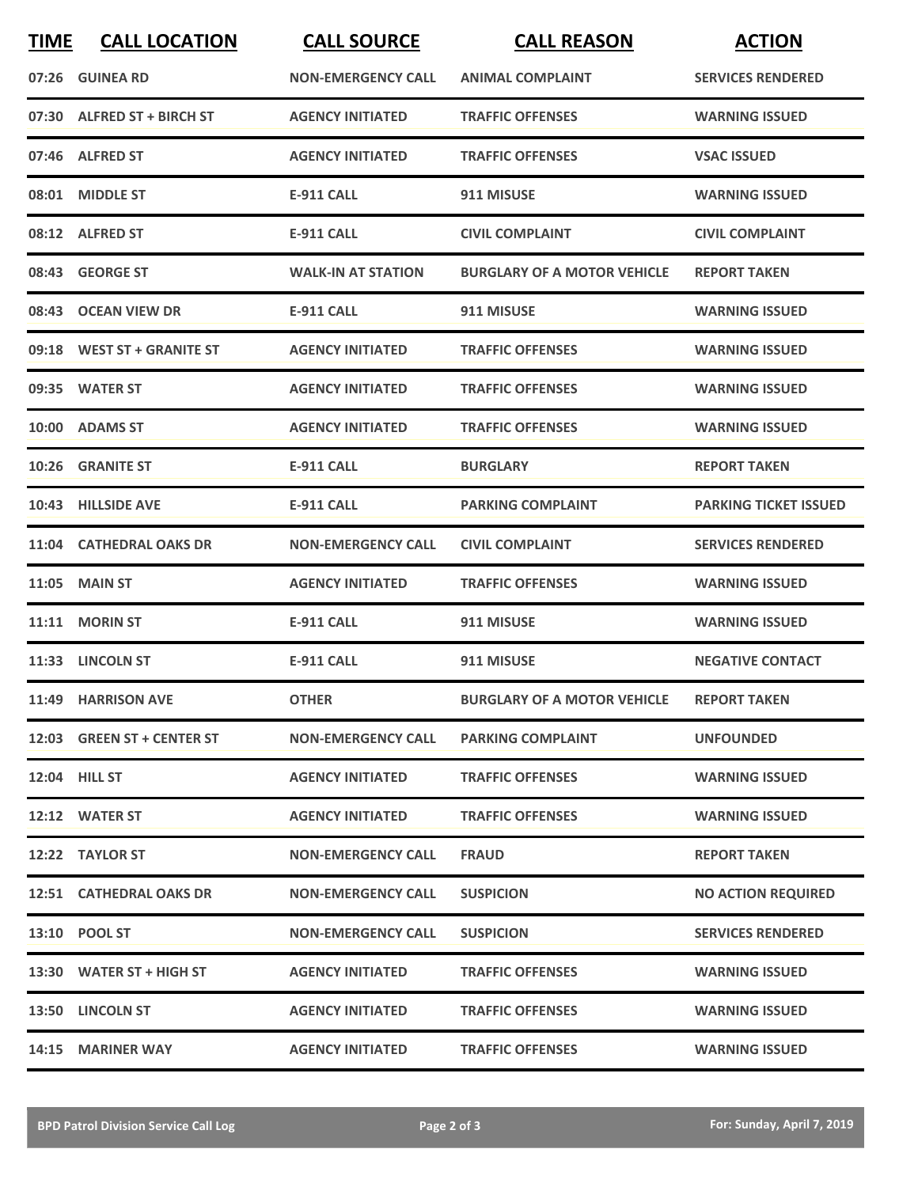| <b>TIME</b> | <b>CALL LOCATION</b>       | <b>CALL SOURCE</b>        | <b>CALL REASON</b>                 | <b>ACTION</b>                |
|-------------|----------------------------|---------------------------|------------------------------------|------------------------------|
|             | 07:26 GUINEA RD            | <b>NON-EMERGENCY CALL</b> | <b>ANIMAL COMPLAINT</b>            | <b>SERVICES RENDERED</b>     |
|             | 07:30 ALFRED ST + BIRCH ST | <b>AGENCY INITIATED</b>   | <b>TRAFFIC OFFENSES</b>            | <b>WARNING ISSUED</b>        |
|             | 07:46 ALFRED ST            | <b>AGENCY INITIATED</b>   | <b>TRAFFIC OFFENSES</b>            | <b>VSAC ISSUED</b>           |
|             | 08:01 MIDDLE ST            | <b>E-911 CALL</b>         | 911 MISUSE                         | <b>WARNING ISSUED</b>        |
|             | 08:12 ALFRED ST            | <b>E-911 CALL</b>         | <b>CIVIL COMPLAINT</b>             | <b>CIVIL COMPLAINT</b>       |
|             | 08:43 GEORGE ST            | <b>WALK-IN AT STATION</b> | <b>BURGLARY OF A MOTOR VEHICLE</b> | <b>REPORT TAKEN</b>          |
|             | 08:43 OCEAN VIEW DR        | E-911 CALL                | 911 MISUSE                         | <b>WARNING ISSUED</b>        |
|             | 09:18 WEST ST + GRANITE ST | <b>AGENCY INITIATED</b>   | <b>TRAFFIC OFFENSES</b>            | <b>WARNING ISSUED</b>        |
|             | 09:35 WATER ST             | <b>AGENCY INITIATED</b>   | <b>TRAFFIC OFFENSES</b>            | <b>WARNING ISSUED</b>        |
|             | 10:00 ADAMS ST             | <b>AGENCY INITIATED</b>   | <b>TRAFFIC OFFENSES</b>            | <b>WARNING ISSUED</b>        |
|             | 10:26 GRANITE ST           | E-911 CALL                | <b>BURGLARY</b>                    | <b>REPORT TAKEN</b>          |
|             | 10:43 HILLSIDE AVE         | <b>E-911 CALL</b>         | <b>PARKING COMPLAINT</b>           | <b>PARKING TICKET ISSUED</b> |
|             | 11:04 CATHEDRAL OAKS DR    | <b>NON-EMERGENCY CALL</b> | <b>CIVIL COMPLAINT</b>             | <b>SERVICES RENDERED</b>     |
|             | <b>11:05 MAIN ST</b>       | <b>AGENCY INITIATED</b>   | <b>TRAFFIC OFFENSES</b>            | <b>WARNING ISSUED</b>        |
|             | 11:11 MORIN ST             | E-911 CALL                | 911 MISUSE                         | <b>WARNING ISSUED</b>        |
|             | 11:33 LINCOLN ST           | <b>E-911 CALL</b>         | 911 MISUSE                         | <b>NEGATIVE CONTACT</b>      |
|             | 11:49 HARRISON AVE         | <b>OTHER</b>              | <b>BURGLARY OF A MOTOR VEHICLE</b> | <b>REPORT TAKEN</b>          |
|             | 12:03 GREEN ST + CENTER ST | <b>NON-EMERGENCY CALL</b> | <b>PARKING COMPLAINT</b>           | <b>UNFOUNDED</b>             |
|             | 12:04 HILL ST              | <b>AGENCY INITIATED</b>   | <b>TRAFFIC OFFENSES</b>            | <b>WARNING ISSUED</b>        |
|             | 12:12 WATER ST             | <b>AGENCY INITIATED</b>   | <b>TRAFFIC OFFENSES</b>            | <b>WARNING ISSUED</b>        |
|             | 12:22 TAYLOR ST            | <b>NON-EMERGENCY CALL</b> | <b>FRAUD</b>                       | <b>REPORT TAKEN</b>          |
|             | 12:51 CATHEDRAL OAKS DR    | <b>NON-EMERGENCY CALL</b> | <b>SUSPICION</b>                   | <b>NO ACTION REQUIRED</b>    |
|             | 13:10 POOL ST              | <b>NON-EMERGENCY CALL</b> | <b>SUSPICION</b>                   | <b>SERVICES RENDERED</b>     |
|             | 13:30 WATER ST + HIGH ST   | <b>AGENCY INITIATED</b>   | <b>TRAFFIC OFFENSES</b>            | <b>WARNING ISSUED</b>        |
|             | 13:50 LINCOLN ST           | <b>AGENCY INITIATED</b>   | <b>TRAFFIC OFFENSES</b>            | <b>WARNING ISSUED</b>        |
|             | 14:15 MARINER WAY          | <b>AGENCY INITIATED</b>   | <b>TRAFFIC OFFENSES</b>            | <b>WARNING ISSUED</b>        |